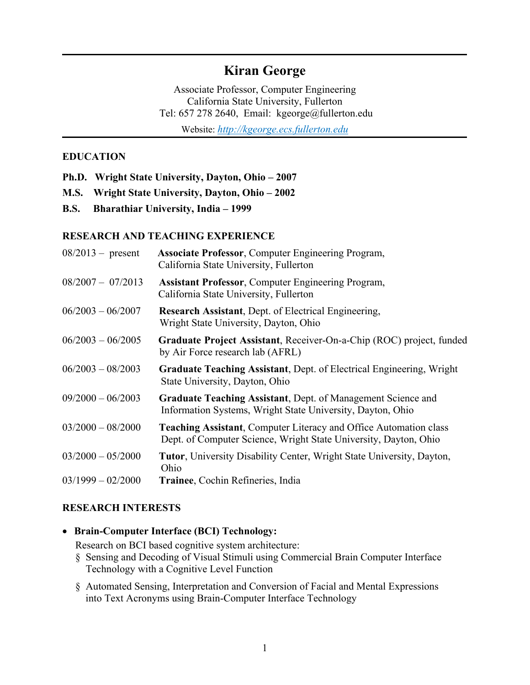# **Kiran George**

Associate Professor, Computer Engineering California State University, Fullerton Tel: 657 278 2640, Email: kgeorge@fullerton.edu Website: *http://kgeorge.ecs.fullerton.edu*

#### **EDUCATION**

- **Ph.D. Wright State University, Dayton, Ohio 2007**
- **M.S. Wright State University, Dayton, Ohio 2002**
- **B.S. Bharathiar University, India 1999**

#### **RESEARCH AND TEACHING EXPERIENCE**

| $08/2013$ - present | <b>Associate Professor, Computer Engineering Program,</b><br>California State University, Fullerton                                          |
|---------------------|----------------------------------------------------------------------------------------------------------------------------------------------|
| $08/2007 - 07/2013$ | <b>Assistant Professor, Computer Engineering Program,</b><br>California State University, Fullerton                                          |
| $06/2003 - 06/2007$ | <b>Research Assistant, Dept. of Electrical Engineering,</b><br>Wright State University, Dayton, Ohio                                         |
| $06/2003 - 06/2005$ | Graduate Project Assistant, Receiver-On-a-Chip (ROC) project, funded<br>by Air Force research lab (AFRL)                                     |
| $06/2003 - 08/2003$ | Graduate Teaching Assistant, Dept. of Electrical Engineering, Wright<br>State University, Dayton, Ohio                                       |
| $09/2000 - 06/2003$ | <b>Graduate Teaching Assistant, Dept. of Management Science and</b><br>Information Systems, Wright State University, Dayton, Ohio            |
| $03/2000 - 08/2000$ | <b>Teaching Assistant, Computer Literacy and Office Automation class</b><br>Dept. of Computer Science, Wright State University, Dayton, Ohio |
| $03/2000 - 05/2000$ | <b>Tutor</b> , University Disability Center, Wright State University, Dayton,<br>Ohio                                                        |
| $03/1999 - 02/2000$ | Trainee, Cochin Refineries, India                                                                                                            |

#### **RESEARCH INTERESTS**

#### **Brain-Computer Interface (BCI) Technology:**

Research on BCI based cognitive system architecture:

- § Sensing and Decoding of Visual Stimuli using Commercial Brain Computer Interface Technology with a Cognitive Level Function
- § Automated Sensing, Interpretation and Conversion of Facial and Mental Expressions into Text Acronyms using Brain-Computer Interface Technology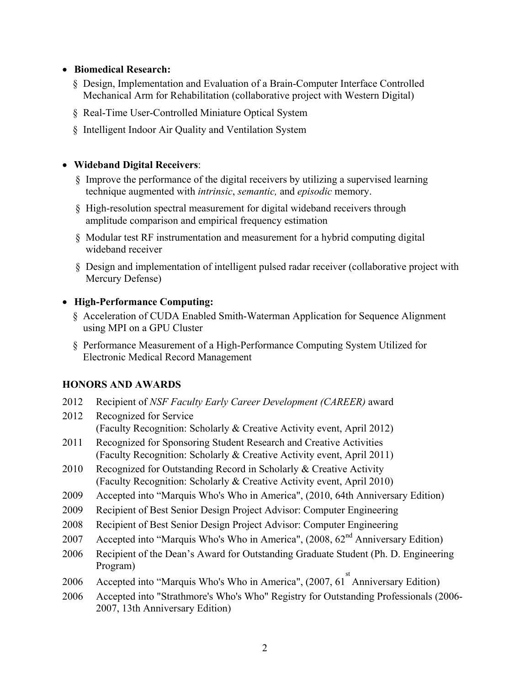#### **Biomedical Research:**

- § Design, Implementation and Evaluation of a Brain-Computer Interface Controlled Mechanical Arm for Rehabilitation (collaborative project with Western Digital)
- § Real-Time User-Controlled Miniature Optical System
- § Intelligent Indoor Air Quality and Ventilation System

#### **Wideband Digital Receivers**:

- § Improve the performance of the digital receivers by utilizing a supervised learning technique augmented with *intrinsic*, *semantic,* and *episodic* memory.
- § High-resolution spectral measurement for digital wideband receivers through amplitude comparison and empirical frequency estimation
- § Modular test RF instrumentation and measurement for a hybrid computing digital wideband receiver
- § Design and implementation of intelligent pulsed radar receiver (collaborative project with Mercury Defense)

#### **High-Performance Computing:**

- § Acceleration of CUDA Enabled Smith-Waterman Application for Sequence Alignment using MPI on a GPU Cluster
- § Performance Measurement of a High-Performance Computing System Utilized for Electronic Medical Record Management

#### **HONORS AND AWARDS**

- 2012 Recipient of *NSF Faculty Early Career Development (CAREER)* award
- 2012 Recognized for Service (Faculty Recognition: Scholarly & Creative Activity event, April 2012)
- 2011 Recognized for Sponsoring Student Research and Creative Activities (Faculty Recognition: Scholarly & Creative Activity event, April 2011)
- 2010 Recognized for Outstanding Record in Scholarly & Creative Activity (Faculty Recognition: Scholarly & Creative Activity event, April 2010)
- 2009 Accepted into "Marquis Who's Who in America", (2010, 64th Anniversary Edition)
- 2009 Recipient of Best Senior Design Project Advisor: Computer Engineering
- 2008 Recipient of Best Senior Design Project Advisor: Computer Engineering
- 2007 Accepted into "Marquis Who's Who in America",  $(2008, 62<sup>nd</sup>$  Anniversary Edition)
- 2006 Recipient of the Dean's Award for Outstanding Graduate Student (Ph. D. Engineering Program)
- 2006 Accepted into "Marquis Who's Who in America", (2007, 61<sup>st</sup> Anniversary Edition)
- 2006 Accepted into "Strathmore's Who's Who" Registry for Outstanding Professionals (2006- 2007, 13th Anniversary Edition)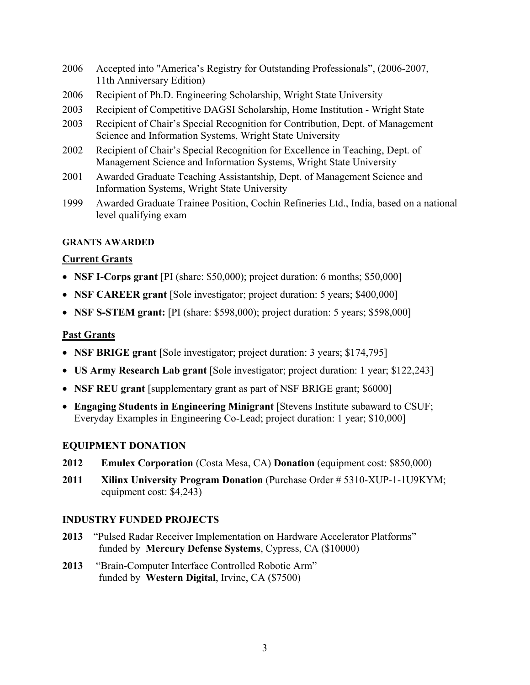- 2006 Accepted into "America's Registry for Outstanding Professionals", (2006-2007, 11th Anniversary Edition)
- 2006 Recipient of Ph.D. Engineering Scholarship, Wright State University
- 2003 Recipient of Competitive DAGSI Scholarship, Home Institution Wright State
- 2003 Recipient of Chair's Special Recognition for Contribution, Dept. of Management Science and Information Systems, Wright State University
- 2002 Recipient of Chair's Special Recognition for Excellence in Teaching, Dept. of Management Science and Information Systems, Wright State University
- 2001 Awarded Graduate Teaching Assistantship, Dept. of Management Science and Information Systems, Wright State University
- 1999 Awarded Graduate Trainee Position, Cochin Refineries Ltd., India, based on a national level qualifying exam

#### **GRANTS AWARDED**

### **Current Grants**

- **NSF I-Corps grant** [PI (share: \$50,000); project duration: 6 months; \$50,000]
- **NSF CAREER grant** [Sole investigator; project duration: 5 years; \$400,000]
- **NSF S-STEM grant:** [PI (share: \$598,000); project duration: 5 years; \$598,000]

### **Past Grants**

- **NSF BRIGE grant** [Sole investigator; project duration: 3 years; \$174,795]
- **US Army Research Lab grant** [Sole investigator; project duration: 1 year; \$122,243]
- **NSF REU grant** [supplementary grant as part of NSF BRIGE grant; \$6000]
- **Engaging Students in Engineering Minigrant** [Stevens Institute subaward to CSUF; Everyday Examples in Engineering Co-Lead; project duration: 1 year; \$10,000]

#### **EQUIPMENT DONATION**

- **2012 Emulex Corporation** (Costa Mesa, CA) **Donation** (equipment cost: \$850,000)
- **2011 Xilinx University Program Donation** (Purchase Order # 5310-XUP-1-1U9KYM; equipment cost: \$4,243)

#### **INDUSTRY FUNDED PROJECTS**

- **2013** "Pulsed Radar Receiver Implementation on Hardware Accelerator Platforms" funded by **Mercury Defense Systems**, Cypress, CA (\$10000)
- **2013** "Brain-Computer Interface Controlled Robotic Arm" funded by **Western Digital**, Irvine, CA (\$7500)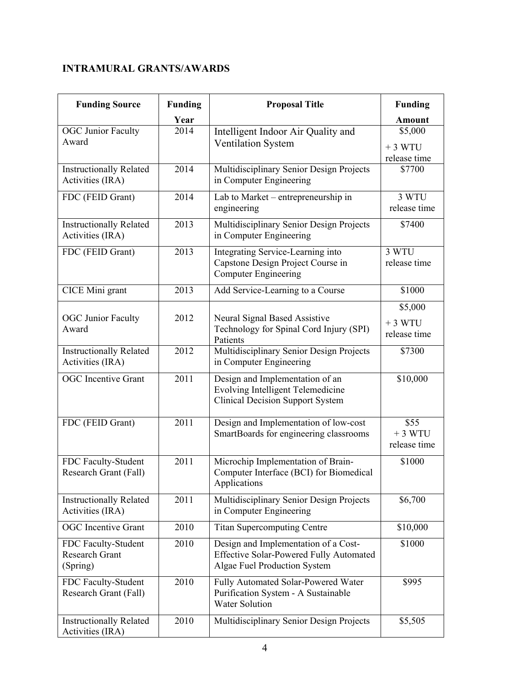## **INTRAMURAL GRANTS/AWARDS**

| <b>Funding Source</b>                              | <b>Funding</b> | <b>Proposal Title</b>                                                                                                  | <b>Funding</b>                      |
|----------------------------------------------------|----------------|------------------------------------------------------------------------------------------------------------------------|-------------------------------------|
|                                                    | Year           |                                                                                                                        | <b>Amount</b>                       |
| <b>OGC Junior Faculty</b>                          | 2014           | Intelligent Indoor Air Quality and                                                                                     | \$5,000                             |
| Award                                              |                | <b>Ventilation System</b>                                                                                              | $+3 WTU$                            |
|                                                    |                |                                                                                                                        | release time                        |
| <b>Instructionally Related</b><br>Activities (IRA) | 2014           | Multidisciplinary Senior Design Projects<br>in Computer Engineering                                                    | \$7700                              |
| FDC (FEID Grant)                                   | 2014           | Lab to Market – entrepreneurship in<br>engineering                                                                     | 3 WTU<br>release time               |
| <b>Instructionally Related</b><br>Activities (IRA) | 2013           | Multidisciplinary Senior Design Projects<br>in Computer Engineering                                                    | \$7400                              |
| FDC (FEID Grant)                                   | 2013           | Integrating Service-Learning into<br>Capstone Design Project Course in<br><b>Computer Engineering</b>                  | 3 WTU<br>release time               |
| CICE Mini grant                                    | 2013           | Add Service-Learning to a Course                                                                                       | \$1000                              |
| <b>OGC</b> Junior Faculty<br>Award                 | 2012           | Neural Signal Based Assistive<br>Technology for Spinal Cord Injury (SPI)<br>Patients                                   | \$5,000<br>$+3 WTU$<br>release time |
| <b>Instructionally Related</b><br>Activities (IRA) | 2012           | Multidisciplinary Senior Design Projects<br>in Computer Engineering                                                    | \$7300                              |
| <b>OGC</b> Incentive Grant                         | 2011           | Design and Implementation of an<br><b>Evolving Intelligent Telemedicine</b><br><b>Clinical Decision Support System</b> | \$10,000                            |
| FDC (FEID Grant)                                   | 2011           | Design and Implementation of low-cost<br>SmartBoards for engineering classrooms                                        | \$55<br>$+3 WTU$<br>release time    |
| FDC Faculty-Student<br>Research Grant (Fall)       | 2011           | Microchip Implementation of Brain-<br>Computer Interface (BCI) for Biomedical<br>Applications                          | \$1000                              |
| <b>Instructionally Related</b><br>Activities (IRA) | 2011           | Multidisciplinary Senior Design Projects<br>in Computer Engineering                                                    | \$6,700                             |
| <b>OGC</b> Incentive Grant                         | 2010           | <b>Titan Supercomputing Centre</b>                                                                                     | \$10,000                            |
| FDC Faculty-Student<br>Research Grant<br>(Spring)  | 2010           | Design and Implementation of a Cost-<br><b>Effective Solar-Powered Fully Automated</b><br>Algae Fuel Production System | \$1000                              |
| FDC Faculty-Student<br>Research Grant (Fall)       | 2010           | Fully Automated Solar-Powered Water<br>Purification System - A Sustainable<br><b>Water Solution</b>                    | \$995                               |
| <b>Instructionally Related</b><br>Activities (IRA) | 2010           | Multidisciplinary Senior Design Projects                                                                               | \$5,505                             |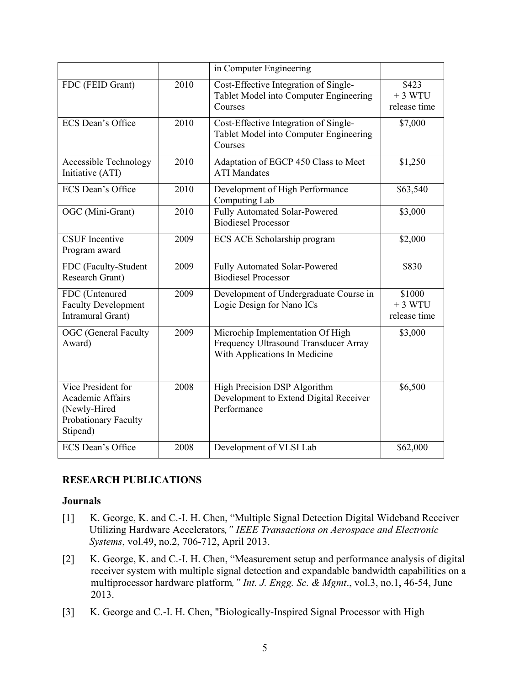|                                                                                                   |      | in Computer Engineering                                                                                    |                                    |
|---------------------------------------------------------------------------------------------------|------|------------------------------------------------------------------------------------------------------------|------------------------------------|
| FDC (FEID Grant)                                                                                  | 2010 | Cost-Effective Integration of Single-<br>Tablet Model into Computer Engineering<br>Courses                 | \$423<br>$+3 WTU$<br>release time  |
| ECS Dean's Office                                                                                 | 2010 | Cost-Effective Integration of Single-<br>Tablet Model into Computer Engineering<br>Courses                 | \$7,000                            |
| <b>Accessible Technology</b><br>Initiative (ATI)                                                  | 2010 | Adaptation of EGCP 450 Class to Meet<br><b>ATI</b> Mandates                                                | \$1,250                            |
| ECS Dean's Office                                                                                 | 2010 | Development of High Performance<br>Computing Lab                                                           | \$63,540                           |
| OGC (Mini-Grant)                                                                                  | 2010 | Fully Automated Solar-Powered<br><b>Biodiesel Processor</b>                                                | \$3,000                            |
| <b>CSUF</b> Incentive<br>Program award                                                            | 2009 | ECS ACE Scholarship program                                                                                | \$2,000                            |
| FDC (Faculty-Student<br>Research Grant)                                                           | 2009 | Fully Automated Solar-Powered<br><b>Biodiesel Processor</b>                                                | \$830                              |
| FDC (Untenured<br><b>Faculty Development</b><br>Intramural Grant)                                 | 2009 | Development of Undergraduate Course in<br>Logic Design for Nano ICs                                        | \$1000<br>$+3 WTU$<br>release time |
| <b>OGC</b> (General Faculty<br>Award)                                                             | 2009 | Microchip Implementation Of High<br>Frequency Ultrasound Transducer Array<br>With Applications In Medicine | \$3,000                            |
| Vice President for<br><b>Academic Affairs</b><br>(Newly-Hired<br>Probationary Faculty<br>Stipend) | 2008 | High Precision DSP Algorithm<br>Development to Extend Digital Receiver<br>Performance                      | \$6,500                            |
| ECS Dean's Office                                                                                 | 2008 | Development of VLSI Lab                                                                                    | \$62,000                           |

#### **RESEARCH PUBLICATIONS**

#### **Journals**

- [1] K. George, K. and C.-I. H. Chen, "Multiple Signal Detection Digital Wideband Receiver Utilizing Hardware Accelerators*," IEEE Transactions on Aerospace and Electronic Systems*, vol.49, no.2, 706-712, April 2013.
- [2] K. George, K. and C.-I. H. Chen, "Measurement setup and performance analysis of digital receiver system with multiple signal detection and expandable bandwidth capabilities on a multiprocessor hardware platform*," Int. J. Engg. Sc. & Mgmt*., vol.3, no.1, 46-54, June 2013.
- [3] K. George and C.-I. H. Chen, "Biologically-Inspired Signal Processor with High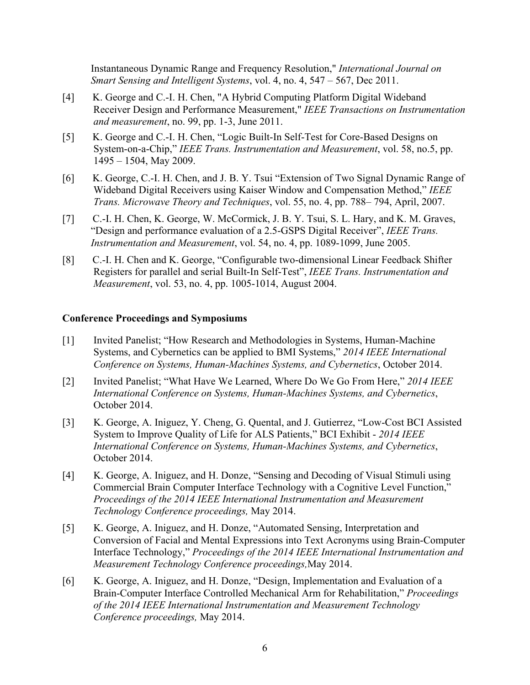Instantaneous Dynamic Range and Frequency Resolution," *International Journal on Smart Sensing and Intelligent Systems*, vol. 4, no. 4, 547 – 567, Dec 2011.

- [4] K. George and C.-I. H. Chen, "A Hybrid Computing Platform Digital Wideband Receiver Design and Performance Measurement," *IEEE Transactions on Instrumentation and measurement*, no. 99, pp. 1-3, June 2011.
- [5] K. George and C.-I. H. Chen, "Logic Built-In Self-Test for Core-Based Designs on System-on-a-Chip," *IEEE Trans. Instrumentation and Measurement*, vol. 58, no.5, pp. 1495 – 1504, May 2009.
- [6] K. George, C.-I. H. Chen, and J. B. Y. Tsui "Extension of Two Signal Dynamic Range of Wideband Digital Receivers using Kaiser Window and Compensation Method," *IEEE Trans. Microwave Theory and Techniques*, vol. 55, no. 4, pp. 788– 794, April, 2007.
- [7] C.-I. H. Chen, K. George, W. McCormick, J. B. Y. Tsui, S. L. Hary, and K. M. Graves, "Design and performance evaluation of a 2.5-GSPS Digital Receiver", *IEEE Trans. Instrumentation and Measurement*, vol. 54, no. 4, pp. 1089-1099, June 2005.
- [8] C.-I. H. Chen and K. George, "Configurable two-dimensional Linear Feedback Shifter Registers for parallel and serial Built-In Self-Test", *IEEE Trans. Instrumentation and Measurement*, vol. 53, no. 4, pp. 1005-1014, August 2004.

#### **Conference Proceedings and Symposiums**

- [1] Invited Panelist; "How Research and Methodologies in Systems, Human-Machine Systems, and Cybernetics can be applied to BMI Systems," *2014 IEEE International Conference on Systems, Human-Machines Systems, and Cybernetics*, October 2014.
- [2] Invited Panelist; "What Have We Learned, Where Do We Go From Here," *2014 IEEE International Conference on Systems, Human-Machines Systems, and Cybernetics*, October 2014.
- [3] K. George, A. Iniguez, Y. Cheng, G. Quental, and J. Gutierrez, "Low-Cost BCI Assisted System to Improve Quality of Life for ALS Patients," BCI Exhibit - *2014 IEEE International Conference on Systems, Human-Machines Systems, and Cybernetics*, October 2014.
- [4] K. George, A. Iniguez, and H. Donze, "Sensing and Decoding of Visual Stimuli using Commercial Brain Computer Interface Technology with a Cognitive Level Function," *Proceedings of the 2014 IEEE International Instrumentation and Measurement Technology Conference proceedings,* May 2014.
- [5] K. George, A. Iniguez, and H. Donze, "Automated Sensing, Interpretation and Conversion of Facial and Mental Expressions into Text Acronyms using Brain-Computer Interface Technology," *Proceedings of the 2014 IEEE International Instrumentation and Measurement Technology Conference proceedings,*May 2014.
- [6] K. George, A. Iniguez, and H. Donze, "Design, Implementation and Evaluation of a Brain-Computer Interface Controlled Mechanical Arm for Rehabilitation," *Proceedings of the 2014 IEEE International Instrumentation and Measurement Technology Conference proceedings,* May 2014.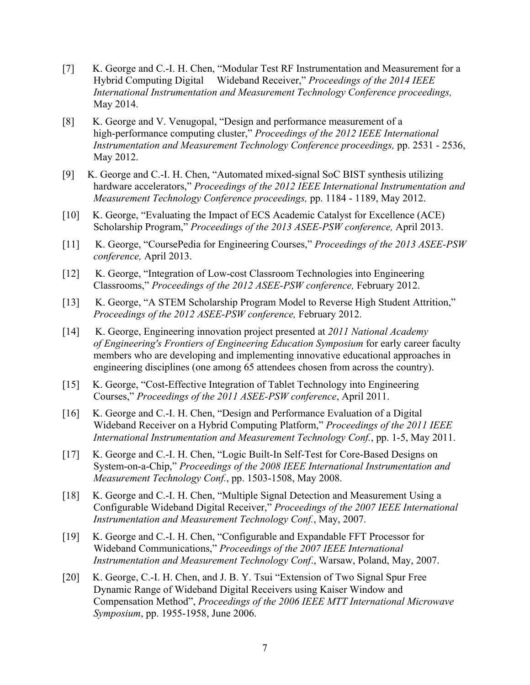- [7] K. George and C.-I. H. Chen, "Modular Test RF Instrumentation and Measurement for a Hybrid Computing Digital Wideband Receiver," *Proceedings of the 2014 IEEE International Instrumentation and Measurement Technology Conference proceedings,* May 2014.
- [8] K. George and V. Venugopal, "Design and performance measurement of a high-performance computing cluster," *Proceedings of the 2012 IEEE International Instrumentation and Measurement Technology Conference proceedings,* pp. 2531 - 2536, May 2012.
- [9] K. George and C.-I. H. Chen, "Automated mixed-signal SoC BIST synthesis utilizing hardware accelerators," *Proceedings of the 2012 IEEE International Instrumentation and Measurement Technology Conference proceedings,* pp. 1184 - 1189, May 2012.
- [10] K. George, "Evaluating the Impact of ECS Academic Catalyst for Excellence (ACE) Scholarship Program," *Proceedings of the 2013 ASEE-PSW conference,* April 2013.
- [11] K. George, "CoursePedia for Engineering Courses," *Proceedings of the 2013 ASEE-PSW conference,* April 2013.
- [12] K. George, "Integration of Low-cost Classroom Technologies into Engineering Classrooms," *Proceedings of the 2012 ASEE-PSW conference,* February 2012.
- [13] K. George, "A STEM Scholarship Program Model to Reverse High Student Attrition," *Proceedings of the 2012 ASEE-PSW conference,* February 2012.
- [14] K. George, Engineering innovation project presented at *2011 National Academy of Engineering's Frontiers of Engineering Education Symposium* for early career faculty members who are developing and implementing innovative educational approaches in engineering disciplines (one among 65 attendees chosen from across the country).
- [15] K. George, "Cost-Effective Integration of Tablet Technology into Engineering Courses," *Proceedings of the 2011 ASEE-PSW conference*, April 2011.
- [16] K. George and C.-I. H. Chen, "Design and Performance Evaluation of a Digital Wideband Receiver on a Hybrid Computing Platform," *Proceedings of the 2011 IEEE International Instrumentation and Measurement Technology Conf.*, pp. 1-5, May 2011.
- [17] K. George and C.-I. H. Chen, "Logic Built-In Self-Test for Core-Based Designs on System-on-a-Chip," *Proceedings of the 2008 IEEE International Instrumentation and Measurement Technology Conf.*, pp. 1503-1508, May 2008.
- [18] K. George and C.-I. H. Chen, "Multiple Signal Detection and Measurement Using a Configurable Wideband Digital Receiver," *Proceedings of the 2007 IEEE International Instrumentation and Measurement Technology Conf.*, May, 2007.
- [19] K. George and C.-I. H. Chen, "Configurable and Expandable FFT Processor for Wideband Communications," *Proceedings of the 2007 IEEE International Instrumentation and Measurement Technology Conf*., Warsaw, Poland, May, 2007.
- [20] K. George, C.-I. H. Chen, and J. B. Y. Tsui "Extension of Two Signal Spur Free Dynamic Range of Wideband Digital Receivers using Kaiser Window and Compensation Method", *Proceedings of the 2006 IEEE MTT International Microwave Symposium*, pp. 1955-1958, June 2006.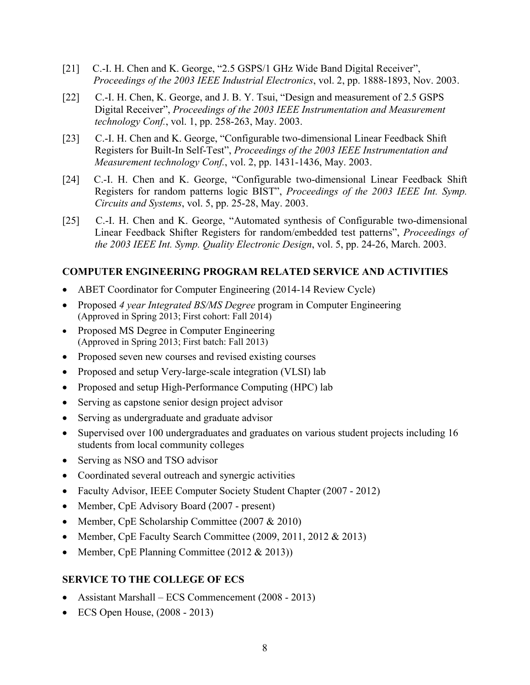- [21] C.-I. H. Chen and K. George, "2.5 GSPS/1 GHz Wide Band Digital Receiver", *Proceedings of the 2003 IEEE Industrial Electronics*, vol. 2, pp. 1888-1893, Nov. 2003.
- [22] C.-I. H. Chen, K. George, and J. B. Y. Tsui, "Design and measurement of 2.5 GSPS Digital Receiver", *Proceedings of the 2003 IEEE Instrumentation and Measurement technology Conf.*, vol. 1, pp. 258-263, May. 2003.
- [23] C.-I. H. Chen and K. George, "Configurable two-dimensional Linear Feedback Shift Registers for Built-In Self-Test", *Proceedings of the 2003 IEEE Instrumentation and Measurement technology Conf.*, vol. 2, pp. 1431-1436, May. 2003.
- [24] C.-I. H. Chen and K. George, "Configurable two-dimensional Linear Feedback Shift Registers for random patterns logic BIST", *Proceedings of the 2003 IEEE Int. Symp. Circuits and Systems*, vol. 5, pp. 25-28, May. 2003.
- [25] C.-I. H. Chen and K. George, "Automated synthesis of Configurable two-dimensional Linear Feedback Shifter Registers for random/embedded test patterns", *Proceedings of the 2003 IEEE Int. Symp. Quality Electronic Design*, vol. 5, pp. 24-26, March. 2003.

#### **COMPUTER ENGINEERING PROGRAM RELATED SERVICE AND ACTIVITIES**

- ABET Coordinator for Computer Engineering (2014-14 Review Cycle)
- Proposed *4 year Integrated BS/MS Degree* program in Computer Engineering (Approved in Spring 2013; First cohort: Fall 2014)
- Proposed MS Degree in Computer Engineering (Approved in Spring 2013; First batch: Fall 2013)
- Proposed seven new courses and revised existing courses
- Proposed and setup Very-large-scale integration (VLSI) lab
- Proposed and setup High-Performance Computing (HPC) lab
- Serving as capstone senior design project advisor
- Serving as undergraduate and graduate advisor
- Supervised over 100 undergraduates and graduates on various student projects including 16 students from local community colleges
- Serving as NSO and TSO advisor
- Coordinated several outreach and synergic activities
- Faculty Advisor, IEEE Computer Society Student Chapter (2007 2012)
- Member, CpE Advisory Board (2007 present)
- Member, CpE Scholarship Committee (2007 & 2010)
- Member, CpE Faculty Search Committee (2009, 2011, 2012 & 2013)
- Member, CpE Planning Committee (2012 & 2013))

#### **SERVICE TO THE COLLEGE OF ECS**

- Assistant Marshall ECS Commencement (2008 2013)
- ECS Open House,  $(2008 2013)$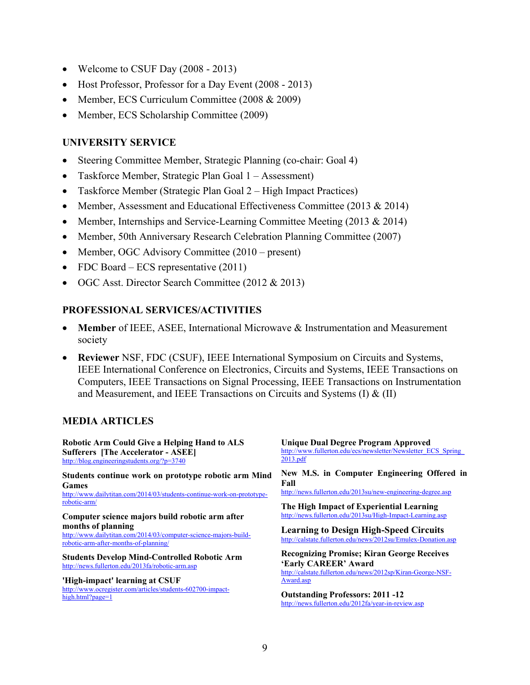- Welcome to CSUF Day (2008 2013)
- Host Professor, Professor for a Day Event (2008 2013)
- Member, ECS Curriculum Committee (2008 & 2009)
- Member, ECS Scholarship Committee (2009)

#### **UNIVERSITY SERVICE**

- Steering Committee Member, Strategic Planning (co-chair: Goal 4)
- Taskforce Member, Strategic Plan Goal 1 Assessment)
- Taskforce Member (Strategic Plan Goal 2 High Impact Practices)
- Member, Assessment and Educational Effectiveness Committee (2013 & 2014)
- Member, Internships and Service-Learning Committee Meeting (2013  $& 2014$ )
- Member, 50th Anniversary Research Celebration Planning Committee (2007)
- Member, OGC Advisory Committee (2010 present)
- FDC Board ECS representative  $(2011)$
- OGC Asst. Director Search Committee (2012 & 2013)

#### **PROFESSIONAL SERVICES/ACTIVITIES**

- **Member** of IEEE, ASEE, International Microwave & Instrumentation and Measurement society
- **Reviewer** NSF, FDC (CSUF), IEEE International Symposium on Circuits and Systems, IEEE International Conference on Electronics, Circuits and Systems, IEEE Transactions on Computers, IEEE Transactions on Signal Processing, IEEE Transactions on Instrumentation and Measurement, and IEEE Transactions on Circuits and Systems  $(I) \& (II)$

#### **MEDIA ARTICLES**

| <b>Robotic Arm Could Give a Helping Hand to ALS</b>                                                                             | <b>Unique Dual Degree Program Approved</b>                                                                                               |  |
|---------------------------------------------------------------------------------------------------------------------------------|------------------------------------------------------------------------------------------------------------------------------------------|--|
| <b>Sufferers [The Accelerator - ASEE]</b>                                                                                       | http://www.fullerton.edu/ecs/newsletter/Newsletter ECS Spring                                                                            |  |
| http://blog.engineeringstudents.org/?p=3740                                                                                     | 2013.pdf                                                                                                                                 |  |
| Students continue work on prototype robotic arm Mind                                                                            | New M.S. in Computer Engineering Offered in                                                                                              |  |
| <b>Games</b>                                                                                                                    | Fall                                                                                                                                     |  |
| http://www.dailytitan.com/2014/03/students-continue-work-on-prototype-                                                          | http://news.fullerton.edu/2013su/new-engineering-degree.asp                                                                              |  |
| robotic-arm/                                                                                                                    | The High Impact of Experiential Learning                                                                                                 |  |
| Computer science majors build robotic arm after                                                                                 | http://news.fullerton.edu/2013su/High-Impact-Learning.asp                                                                                |  |
| months of planning<br>http://www.dailytitan.com/2014/03/computer-science-majors-build-<br>robotic-arm-after-months-of-planning/ | <b>Learning to Design High-Speed Circuits</b><br>http://calstate.fullerton.edu/news/2012su/Emulex-Donation.asp                           |  |
| <b>Students Develop Mind-Controlled Robotic Arm</b><br>http://news.fullerton.edu/2013fa/robotic-arm.asp                         | <b>Recognizing Promise; Kiran George Receives</b><br>'Early CAREER' Award<br>http://calstate.fullerton.edu/news/2012sp/Kiran-George-NSF- |  |
| 'High-impact' learning at CSUF                                                                                                  | Award.asp                                                                                                                                |  |
| http://www.ocregister.com/articles/students-602700-impact-                                                                      | <b>Outstanding Professors: 2011 -12</b>                                                                                                  |  |
| high.html?page=1                                                                                                                | http://news.fullerton.edu/2012fa/year-in-review.asp                                                                                      |  |
|                                                                                                                                 |                                                                                                                                          |  |